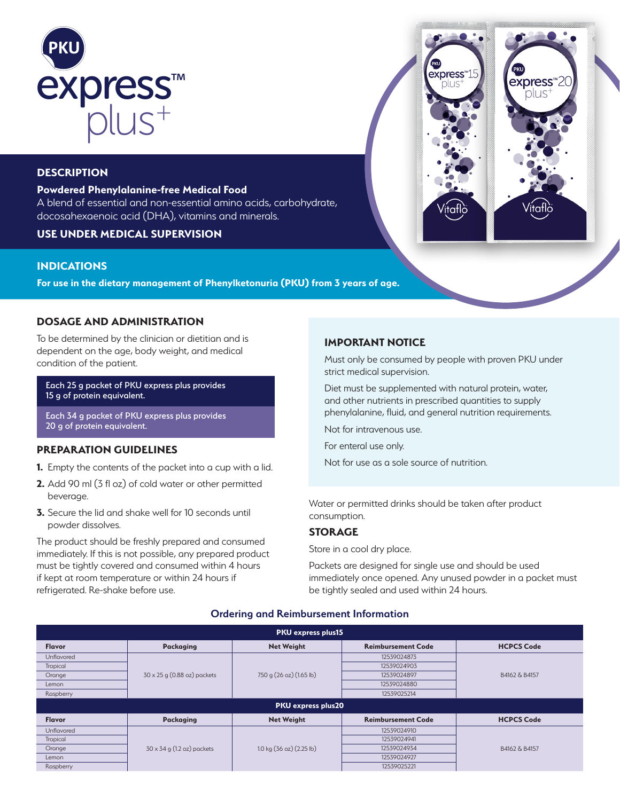

# **DESCRIPTION**

## **Powdered Phenylalanine-free Medical Food**

A blend of essential and non-essential amino acids, carbohydrate, docosahexaenoic acid (DHA), vitamins and minerals.

# **USE UNDER MEDICAL SUPERVISION**

# **INDICATIONS**

**For use in the dietary management of Phenylketonuria (PKU) from 3 years of age.** 

# **DOSAGE AND ADMINISTRATION**

To be determined by the clinician or dietitian and is dependent on the age, body weight, and medical condition of the patient.

Each 25 g packet of PKU express plus provides 15 g of protein equivalent.

Each 34 g packet of PKU express plus provides 20 g of protein equivalent.

# **PREPARATION GUIDELINES**

- **1.** Empty the contents of the packet into a cup with a lid.
- **2.** Add 90 ml (3 fl oz) of cold water or other permitted beverage.
- **3.** Secure the lid and shake well for 10 seconds until powder dissolves.

The product should be freshly prepared and consumed immediately. If this is not possible, any prepared product must be tightly covered and consumed within 4 hours if kept at room temperature or within 24 hours if refrigerated. Re-shake before use.

## **IMPORTANT NOTICE**

Must only be consumed by people with proven PKU under strict medical supervision.

express<sup>\*15</sup>

express<sup>™20</sup> plus

Diet must be supplemented with natural protein, water, and other nutrients in prescribed quantities to supply phenylalanine, fluid, and general nutrition requirements.

Not for intravenous use.

For enteral use only.

Not for use as a sole source of nutrition.

Water or permitted drinks should be taken after product consumption.

## **STORAGE**

Store in a cool dry place.

Packets are designed for single use and should be used immediately once opened. Any unused powder in a packet must be tightly sealed and used within 24 hours.

## **Ordering and Reimbursement Information**

| <b>PKU express plus15</b> |                                   |                                                    |                           |                   |  |  |  |  |  |  |
|---------------------------|-----------------------------------|----------------------------------------------------|---------------------------|-------------------|--|--|--|--|--|--|
| <b>Flavor</b>             | <b>Packaging</b>                  | <b>Net Weight</b>                                  | <b>Reimbursement Code</b> | <b>HCPCS Code</b> |  |  |  |  |  |  |
| <b>Unflavored</b>         |                                   | 750 g (26 oz) (1.65 lb)                            | 12539024873               | B4162 & B4157     |  |  |  |  |  |  |
| Tropical                  |                                   |                                                    | 12539024903               |                   |  |  |  |  |  |  |
| Orange                    | 30 x 25 g (0.88 oz) packets       |                                                    | 12539024897               |                   |  |  |  |  |  |  |
| Lemon                     |                                   |                                                    | 12539024880               |                   |  |  |  |  |  |  |
| Raspberry                 |                                   |                                                    | 12539025214               |                   |  |  |  |  |  |  |
| <b>PKU express plus20</b> |                                   |                                                    |                           |                   |  |  |  |  |  |  |
| <b>Flavor</b>             | Packaging                         | <b>Net Weight</b>                                  | <b>Reimbursement Code</b> | <b>HCPCS Code</b> |  |  |  |  |  |  |
| Unflavored                |                                   |                                                    | 12539024910               | B4162 & B4157     |  |  |  |  |  |  |
| Tropical                  |                                   | $1.0 \text{ kg} (36 \text{ oz}) (2.25 \text{ lb})$ | 12539024941               |                   |  |  |  |  |  |  |
| Orange                    | $30 \times 34$ g (1.2 oz) packets |                                                    | 12539024934               |                   |  |  |  |  |  |  |
| Lemon                     |                                   |                                                    | 12539024927               |                   |  |  |  |  |  |  |
| Raspberry                 |                                   |                                                    | 12539025221               |                   |  |  |  |  |  |  |